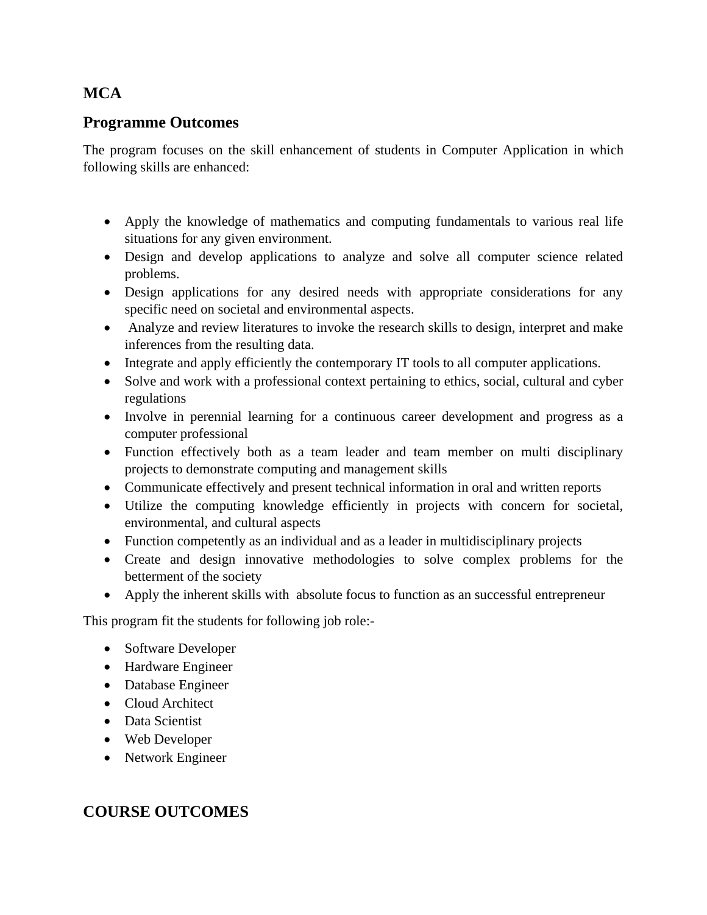# **MCA**

# **Programme Outcomes**

The program focuses on the skill enhancement of students in Computer Application in which following skills are enhanced:

- Apply the knowledge of mathematics and computing fundamentals to various real life situations for any given environment.
- Design and develop applications to analyze and solve all computer science related problems.
- Design applications for any desired needs with appropriate considerations for any specific need on societal and environmental aspects.
- Analyze and review literatures to invoke the research skills to design, interpret and make inferences from the resulting data.
- Integrate and apply efficiently the contemporary IT tools to all computer applications.
- Solve and work with a professional context pertaining to ethics, social, cultural and cyber regulations
- Involve in perennial learning for a continuous career development and progress as a computer professional
- Function effectively both as a team leader and team member on multi disciplinary projects to demonstrate computing and management skills
- Communicate effectively and present technical information in oral and written reports
- Utilize the computing knowledge efficiently in projects with concern for societal, environmental, and cultural aspects
- Function competently as an individual and as a leader in multidisciplinary projects
- Create and design innovative methodologies to solve complex problems for the betterment of the society
- Apply the inherent skills with absolute focus to function as an successful entrepreneur

This program fit the students for following job role:-

- Software Developer
- Hardware Engineer
- Database Engineer
- Cloud Architect
- Data Scientist
- Web Developer
- Network Engineer

# **COURSE OUTCOMES**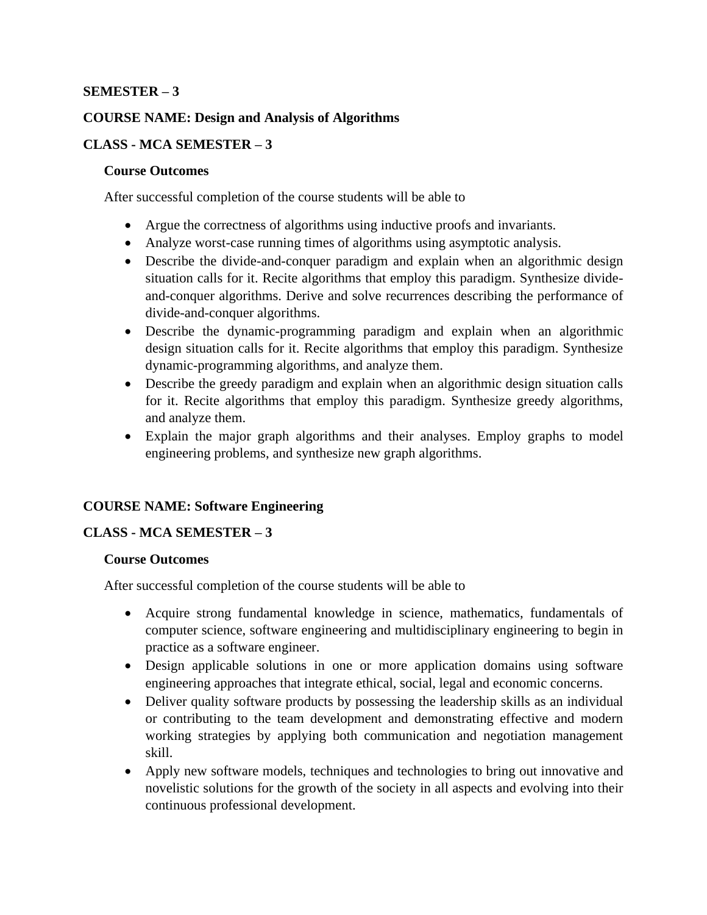#### **SEMESTER – 3**

#### **COURSE NAME: Design and Analysis of Algorithms**

#### **CLASS - MCA SEMESTER – 3**

#### **Course Outcomes**

After successful completion of the course students will be able to

- Argue the correctness of algorithms using inductive proofs and invariants.
- Analyze worst-case running times of algorithms using asymptotic analysis.
- Describe the divide-and-conquer paradigm and explain when an algorithmic design situation calls for it. Recite algorithms that employ this paradigm. Synthesize divideand-conquer algorithms. Derive and solve recurrences describing the performance of divide-and-conquer algorithms.
- Describe the dynamic-programming paradigm and explain when an algorithmic design situation calls for it. Recite algorithms that employ this paradigm. Synthesize dynamic-programming algorithms, and analyze them.
- Describe the greedy paradigm and explain when an algorithmic design situation calls for it. Recite algorithms that employ this paradigm. Synthesize greedy algorithms, and analyze them.
- Explain the major graph algorithms and their analyses. Employ graphs to model engineering problems, and synthesize new graph algorithms.

### **COURSE NAME: Software Engineering**

#### **CLASS - MCA SEMESTER – 3**

#### **Course Outcomes**

- Acquire strong fundamental knowledge in science, mathematics, fundamentals of computer science, software engineering and multidisciplinary engineering to begin in practice as a software engineer.
- Design applicable solutions in one or more application domains using software engineering approaches that integrate ethical, social, legal and economic concerns.
- Deliver quality software products by possessing the leadership skills as an individual or contributing to the team development and demonstrating effective and modern working strategies by applying both communication and negotiation management skill.
- Apply new software models, techniques and technologies to bring out innovative and novelistic solutions for the growth of the society in all aspects and evolving into their continuous professional development.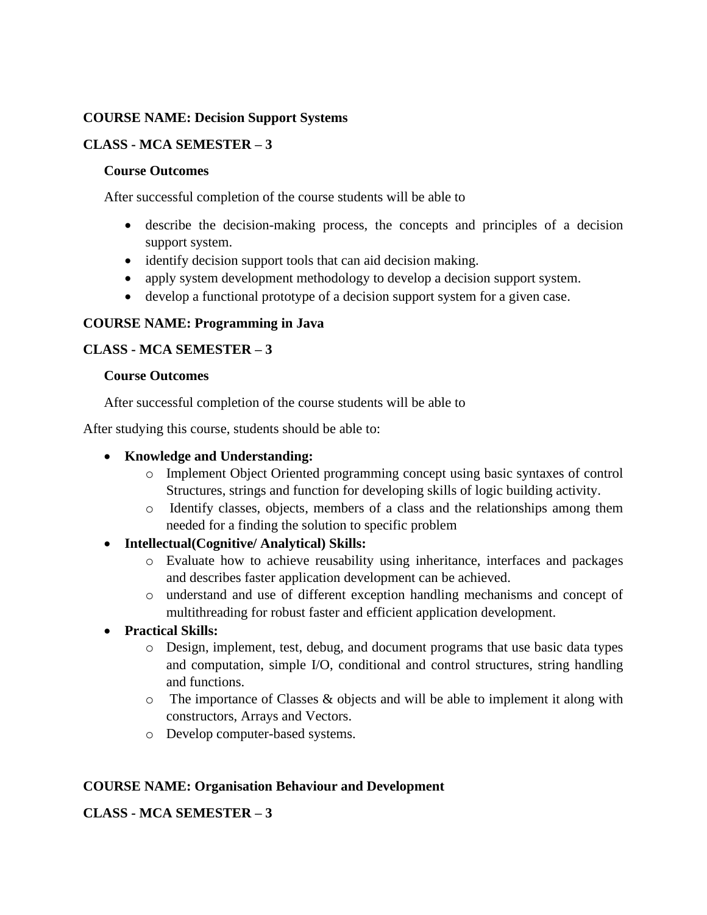#### **COURSE NAME: Decision Support Systems**

#### **CLASS - MCA SEMESTER – 3**

#### **Course Outcomes**

After successful completion of the course students will be able to

- describe the decision-making process, the concepts and principles of a decision support system.
- identify decision support tools that can aid decision making.
- apply system development methodology to develop a decision support system.
- develop a functional prototype of a decision support system for a given case.

#### **COURSE NAME: Programming in Java**

#### **CLASS - MCA SEMESTER – 3**

#### **Course Outcomes**

After successful completion of the course students will be able to

After studying this course, students should be able to:

#### • **Knowledge and Understanding:**

- o Implement Object Oriented programming concept using basic syntaxes of control Structures, strings and function for developing skills of logic building activity.
- o Identify classes, objects, members of a class and the relationships among them needed for a finding the solution to specific problem
- **Intellectual(Cognitive/ Analytical) Skills:**
	- o Evaluate how to achieve reusability using inheritance, interfaces and packages and describes faster application development can be achieved.
	- o understand and use of different exception handling mechanisms and concept of multithreading for robust faster and efficient application development.

### • **Practical Skills:**

- o Design, implement, test, debug, and document programs that use basic data types and computation, simple I/O, conditional and control structures, string handling and functions.
- o The importance of Classes & objects and will be able to implement it along with constructors, Arrays and Vectors.
- o Develop computer-based systems.

#### **COURSE NAME: Organisation Behaviour and Development**

**CLASS - MCA SEMESTER – 3**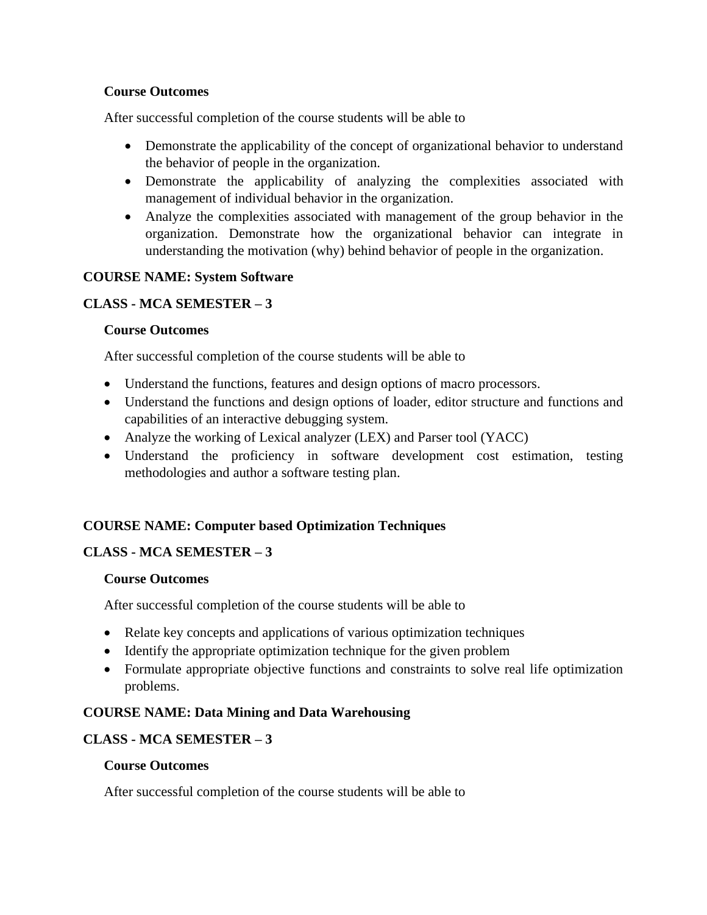#### **Course Outcomes**

After successful completion of the course students will be able to

- Demonstrate the applicability of the concept of organizational behavior to understand the behavior of people in the organization.
- Demonstrate the applicability of analyzing the complexities associated with management of individual behavior in the organization.
- Analyze the complexities associated with management of the group behavior in the organization. Demonstrate how the organizational behavior can integrate in understanding the motivation (why) behind behavior of people in the organization.

#### **COURSE NAME: System Software**

### **CLASS - MCA SEMESTER – 3**

#### **Course Outcomes**

After successful completion of the course students will be able to

- Understand the functions, features and design options of macro processors.
- Understand the functions and design options of loader, editor structure and functions and capabilities of an interactive debugging system.
- Analyze the working of Lexical analyzer (LEX) and Parser tool (YACC)
- Understand the proficiency in software development cost estimation, testing methodologies and author a software testing plan.

### **COURSE NAME: Computer based Optimization Techniques**

#### **CLASS - MCA SEMESTER – 3**

#### **Course Outcomes**

After successful completion of the course students will be able to

- Relate key concepts and applications of various optimization techniques
- Identify the appropriate optimization technique for the given problem
- Formulate appropriate objective functions and constraints to solve real life optimization problems.

#### **COURSE NAME: Data Mining and Data Warehousing**

#### **CLASS - MCA SEMESTER – 3**

#### **Course Outcomes**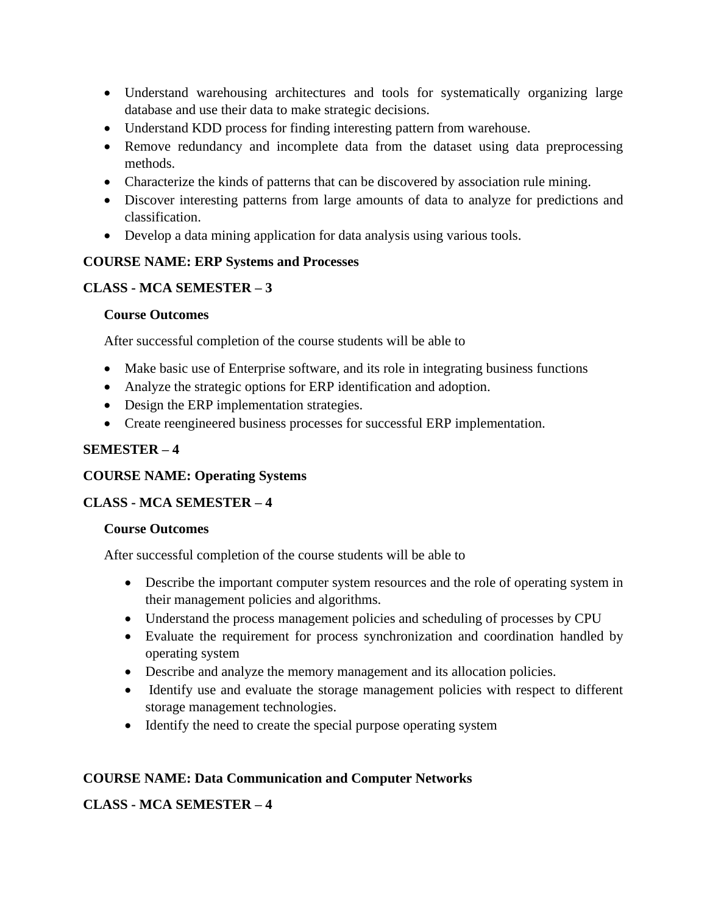- Understand warehousing architectures and tools for systematically organizing large database and use their data to make strategic decisions.
- Understand KDD process for finding interesting pattern from warehouse.
- Remove redundancy and incomplete data from the dataset using data preprocessing methods.
- Characterize the kinds of patterns that can be discovered by association rule mining.
- Discover interesting patterns from large amounts of data to analyze for predictions and classification.
- Develop a data mining application for data analysis using various tools.

### **COURSE NAME: ERP Systems and Processes**

# **CLASS - MCA SEMESTER – 3**

### **Course Outcomes**

After successful completion of the course students will be able to

- Make basic use of Enterprise software, and its role in integrating business functions
- Analyze the strategic options for ERP identification and adoption.
- Design the ERP implementation strategies.
- Create reengineered business processes for successful ERP implementation.

# **SEMESTER – 4**

### **COURSE NAME: Operating Systems**

# **CLASS - MCA SEMESTER – 4**

### **Course Outcomes**

After successful completion of the course students will be able to

- Describe the important computer system resources and the role of operating system in their management policies and algorithms.
- Understand the process management policies and scheduling of processes by CPU
- Evaluate the requirement for process synchronization and coordination handled by operating system
- Describe and analyze the memory management and its allocation policies.
- Identify use and evaluate the storage management policies with respect to different storage management technologies.
- Identify the need to create the special purpose operating system

# **COURSE NAME: Data Communication and Computer Networks**

# **CLASS - MCA SEMESTER – 4**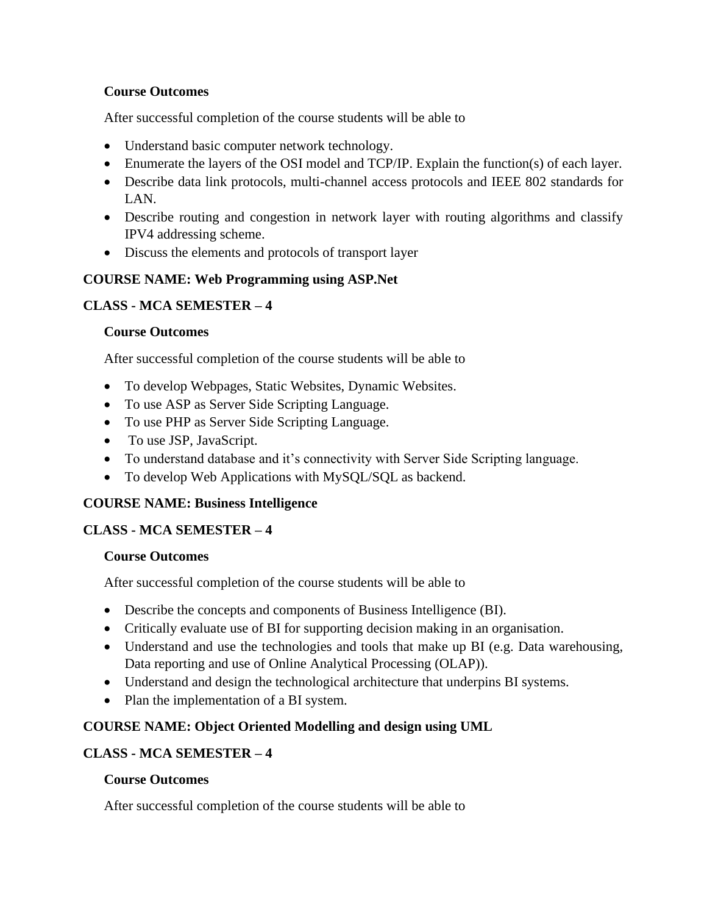### **Course Outcomes**

After successful completion of the course students will be able to

- Understand basic computer network technology.
- Enumerate the layers of the OSI model and TCP/IP. Explain the function(s) of each layer.
- Describe data link protocols, multi-channel access protocols and IEEE 802 standards for LAN.
- Describe routing and congestion in network layer with routing algorithms and classify IPV4 addressing scheme.
- Discuss the elements and protocols of transport layer

# **COURSE NAME: Web Programming using ASP.Net**

# **CLASS - MCA SEMESTER – 4**

### **Course Outcomes**

After successful completion of the course students will be able to

- To develop Webpages, Static Websites, Dynamic Websites.
- To use ASP as Server Side Scripting Language.
- To use PHP as Server Side Scripting Language.
- To use JSP, JavaScript.
- To understand database and it's connectivity with Server Side Scripting language.
- To develop Web Applications with MySQL/SQL as backend.

### **COURSE NAME: Business Intelligence**

### **CLASS - MCA SEMESTER – 4**

### **Course Outcomes**

After successful completion of the course students will be able to

- Describe the concepts and components of Business Intelligence (BI).
- Critically evaluate use of BI for supporting decision making in an organisation.
- Understand and use the technologies and tools that make up BI (e.g. Data warehousing, Data reporting and use of Online Analytical Processing (OLAP)).
- Understand and design the technological architecture that underpins BI systems.
- Plan the implementation of a BI system.

### **COURSE NAME: Object Oriented Modelling and design using UML**

### **CLASS - MCA SEMESTER – 4**

### **Course Outcomes**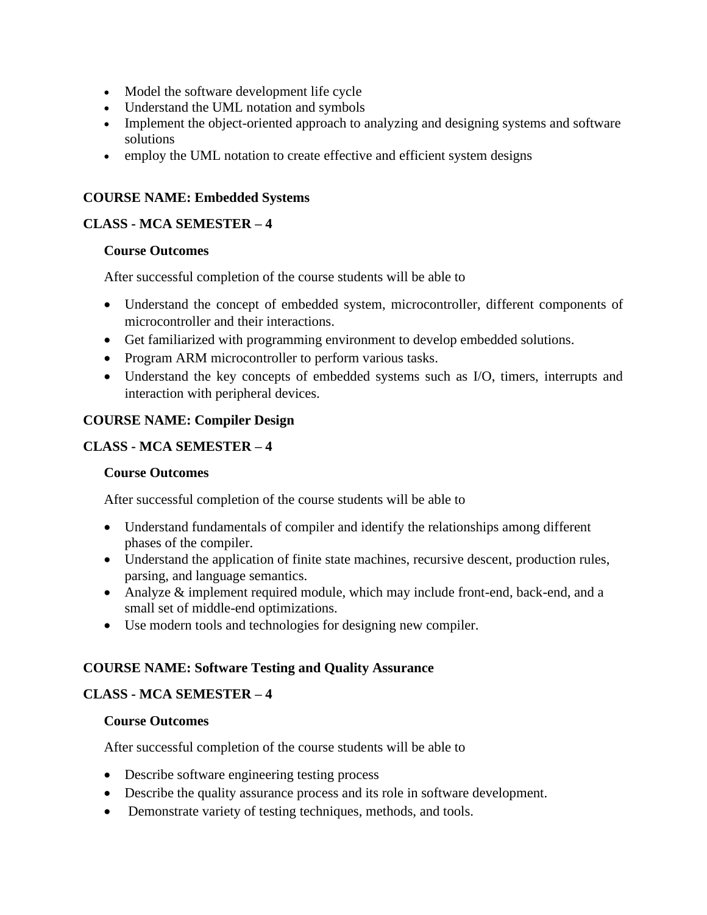- Model the software development life cycle
- Understand the UML notation and symbols
- Implement the object-oriented approach to analyzing and designing systems and software solutions
- employ the UML notation to create effective and efficient system designs

# **COURSE NAME: Embedded Systems**

## **CLASS - MCA SEMESTER – 4**

# **Course Outcomes**

After successful completion of the course students will be able to

- Understand the concept of embedded system, microcontroller, different components of microcontroller and their interactions.
- Get familiarized with programming environment to develop embedded solutions.
- Program ARM microcontroller to perform various tasks.
- Understand the key concepts of embedded systems such as I/O, timers, interrupts and interaction with peripheral devices.

# **COURSE NAME: Compiler Design**

# **CLASS - MCA SEMESTER – 4**

### **Course Outcomes**

After successful completion of the course students will be able to

- Understand fundamentals of compiler and identify the relationships among different phases of the compiler.
- Understand the application of finite state machines, recursive descent, production rules, parsing, and language semantics.
- Analyze & implement required module, which may include front-end, back-end, and a small set of middle-end optimizations.
- Use modern tools and technologies for designing new compiler.

# **COURSE NAME: Software Testing and Quality Assurance**

# **CLASS - MCA SEMESTER – 4**

### **Course Outcomes**

- Describe software engineering testing process
- Describe the quality assurance process and its role in software development.
- Demonstrate variety of testing techniques, methods, and tools.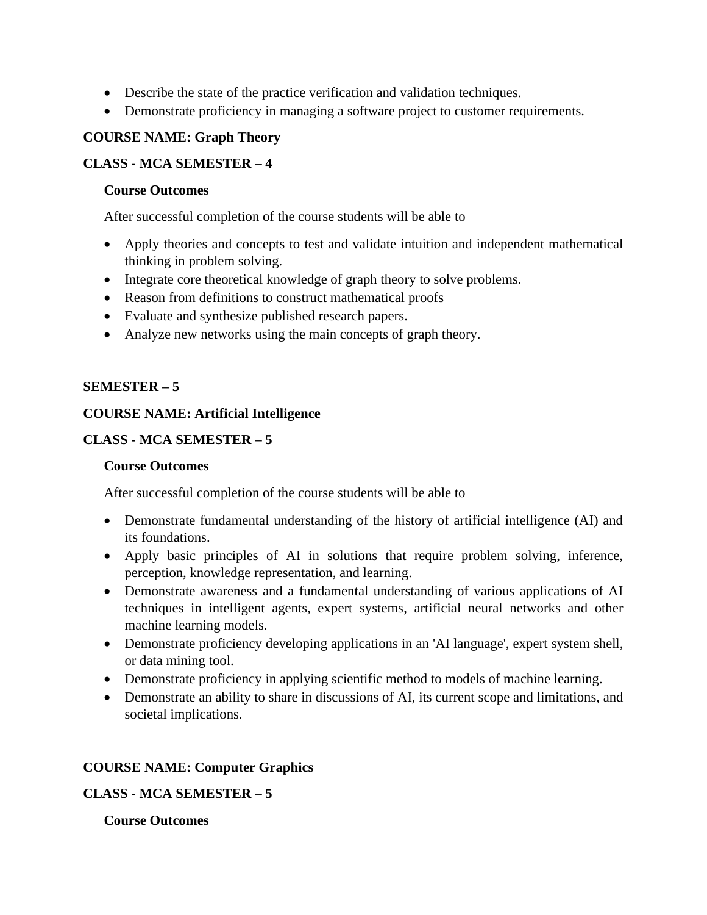- Describe the state of the practice verification and validation techniques.
- Demonstrate proficiency in managing a software project to customer requirements.

## **COURSE NAME: Graph Theory**

## **CLASS - MCA SEMESTER – 4**

#### **Course Outcomes**

After successful completion of the course students will be able to

- Apply theories and concepts to test and validate intuition and independent mathematical thinking in problem solving.
- Integrate core theoretical knowledge of graph theory to solve problems.
- Reason from definitions to construct mathematical proofs
- Evaluate and synthesize published research papers.
- Analyze new networks using the main concepts of graph theory.

### **SEMESTER – 5**

# **COURSE NAME: Artificial Intelligence**

# **CLASS - MCA SEMESTER – 5**

### **Course Outcomes**

After successful completion of the course students will be able to

- Demonstrate fundamental understanding of the history of artificial intelligence (AI) and its foundations.
- Apply basic principles of AI in solutions that require problem solving, inference, perception, knowledge representation, and learning.
- Demonstrate awareness and a fundamental understanding of various applications of AI techniques in intelligent agents, expert systems, artificial neural networks and other machine learning models.
- Demonstrate proficiency developing applications in an 'AI language', expert system shell, or data mining tool.
- Demonstrate proficiency in applying scientific method to models of machine learning.
- Demonstrate an ability to share in discussions of AI, its current scope and limitations, and societal implications.

### **COURSE NAME: Computer Graphics**

### **CLASS - MCA SEMESTER – 5**

### **Course Outcomes**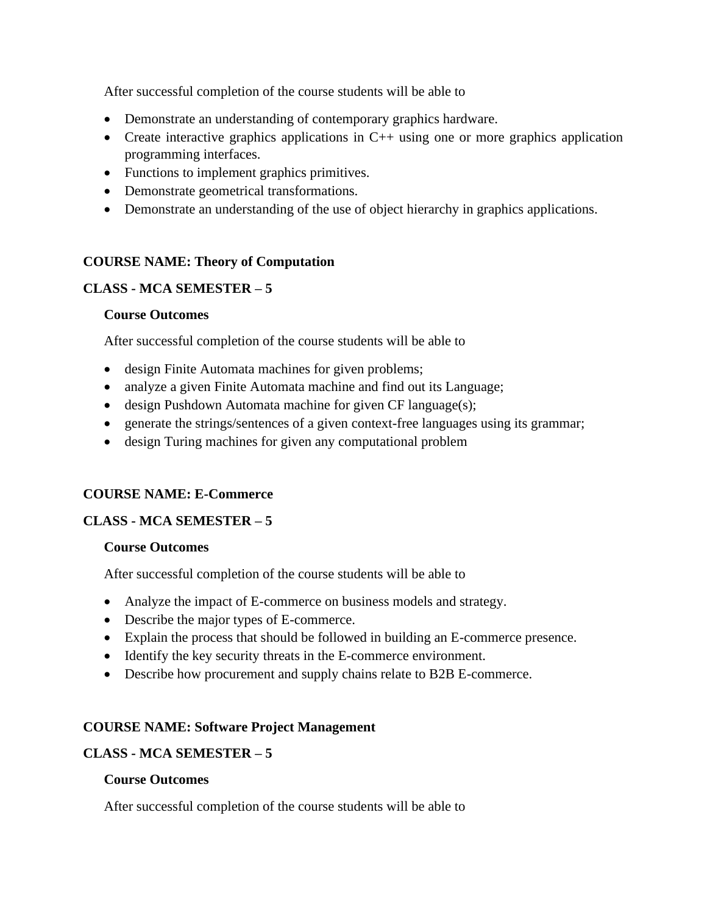After successful completion of the course students will be able to

- Demonstrate an understanding of contemporary graphics hardware.
- Create interactive graphics applications in C++ using one or more graphics application programming interfaces.
- Functions to implement graphics primitives.
- Demonstrate geometrical transformations.
- Demonstrate an understanding of the use of object hierarchy in graphics applications.

#### **COURSE NAME: Theory of Computation**

#### **CLASS - MCA SEMESTER – 5**

#### **Course Outcomes**

After successful completion of the course students will be able to

- design Finite Automata machines for given problems;
- analyze a given Finite Automata machine and find out its Language;
- design Pushdown Automata machine for given CF language(s);
- generate the strings/sentences of a given context-free languages using its grammar;
- design Turing machines for given any computational problem

### **COURSE NAME: E-Commerce**

#### **CLASS - MCA SEMESTER – 5**

#### **Course Outcomes**

After successful completion of the course students will be able to

- Analyze the impact of E-commerce on business models and strategy.
- Describe the major types of E-commerce.
- Explain the process that should be followed in building an E-commerce presence.
- Identify the key security threats in the E-commerce environment.
- Describe how procurement and supply chains relate to B2B E-commerce.

#### **COURSE NAME: Software Project Management**

#### **CLASS - MCA SEMESTER – 5**

#### **Course Outcomes**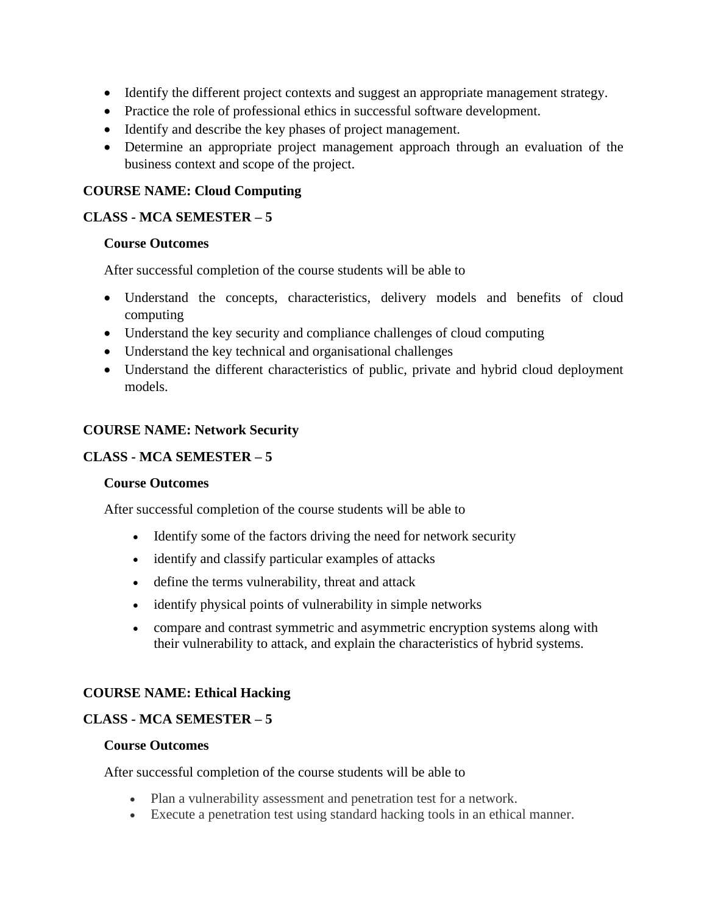- Identify the different project contexts and suggest an appropriate management strategy.
- Practice the role of professional ethics in successful software development.
- Identify and describe the key phases of project management.
- Determine an appropriate project management approach through an evaluation of the business context and scope of the project.

#### **COURSE NAME: Cloud Computing**

#### **CLASS - MCA SEMESTER – 5**

#### **Course Outcomes**

After successful completion of the course students will be able to

- Understand the concepts, characteristics, delivery models and benefits of cloud computing
- Understand the key security and compliance challenges of cloud computing
- Understand the key technical and organisational challenges
- Understand the different characteristics of public, private and hybrid cloud deployment models.

#### **COURSE NAME: Network Security**

#### **CLASS - MCA SEMESTER – 5**

#### **Course Outcomes**

After successful completion of the course students will be able to

- Identify some of the factors driving the need for network security
- identify and classify particular examples of attacks
- define the terms vulnerability, threat and attack
- identify physical points of vulnerability in simple networks
- compare and contrast symmetric and asymmetric encryption systems along with their vulnerability to attack, and explain the characteristics of hybrid systems.

#### **COURSE NAME: Ethical Hacking**

#### **CLASS - MCA SEMESTER – 5**

#### **Course Outcomes**

- Plan a vulnerability assessment and penetration test for a network.
- Execute a penetration test using standard hacking tools in an ethical manner.